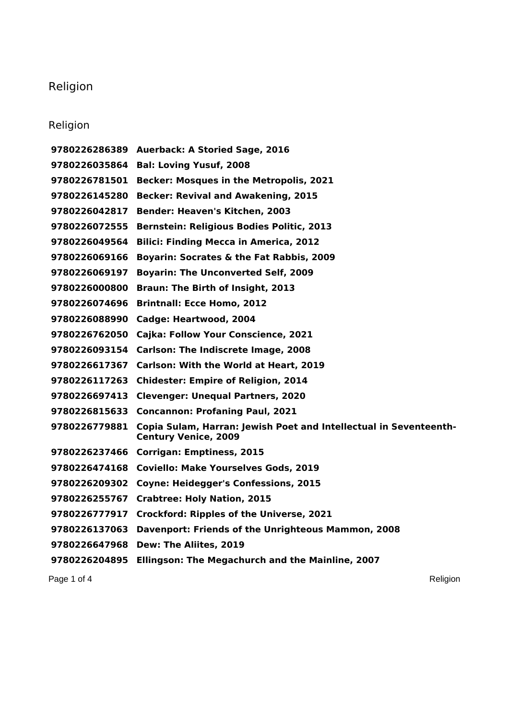## Religion

## Religion

 **Auerback: A Storied Sage, 2016 Bal: Loving Yusuf, 2008 Becker: Mosques in the Metropolis, 2021 Becker: Revival and Awakening, 2015 Bender: Heaven's Kitchen, 2003 Bernstein: Religious Bodies Politic, 2013 Bilici: Finding Mecca in America, 2012 Boyarin: Socrates & the Fat Rabbis, 2009 Boyarin: The Unconverted Self, 2009 Braun: The Birth of Insight, 2013 Brintnall: Ecce Homo, 2012 Cadge: Heartwood, 2004 Cajka: Follow Your Conscience, 2021 Carlson: The Indiscrete Image, 2008 Carlson: With the World at Heart, 2019 Chidester: Empire of Religion, 2014 Clevenger: Unequal Partners, 2020 Concannon: Profaning Paul, 2021 Copia Sulam, Harran: Jewish Poet and Intellectual in Seventeenth-Century Venice, 2009 Corrigan: Emptiness, 2015 Coviello: Make Yourselves Gods, 2019 Coyne: Heidegger's Confessions, 2015 Crabtree: Holy Nation, 2015 Crockford: Ripples of the Universe, 2021 Davenport: Friends of the Unrighteous Mammon, 2008 Dew: The Aliites, 2019 Ellingson: The Megachurch and the Mainline, 2007**

Page 1 of 4 Religion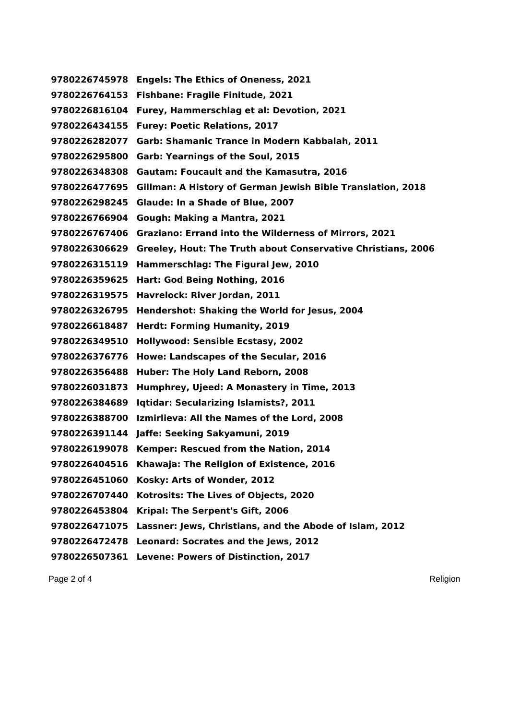**Engels: The Ethics of Oneness, 2021 Fishbane: Fragile Finitude, 2021 Furey, Hammerschlag et al: Devotion, 2021 Furey: Poetic Relations, 2017 Garb: Shamanic Trance in Modern Kabbalah, 2011 Garb: Yearnings of the Soul, 2015 Gautam: Foucault and the Kamasutra, 2016 Gillman: A History of German Jewish Bible Translation, 2018 Glaude: In a Shade of Blue, 2007 Gough: Making a Mantra, 2021 Graziano: Errand into the Wilderness of Mirrors, 2021 Greeley, Hout: The Truth about Conservative Christians, 2006 Hammerschlag: The Figural Jew, 2010 Hart: God Being Nothing, 2016 Havrelock: River Jordan, 2011 Hendershot: Shaking the World for Jesus, 2004 Herdt: Forming Humanity, 2019 Hollywood: Sensible Ecstasy, 2002 Howe: Landscapes of the Secular, 2016 Huber: The Holy Land Reborn, 2008 Humphrey, Ujeed: A Monastery in Time, 2013 Iqtidar: Secularizing Islamists?, 2011 Izmirlieva: All the Names of the Lord, 2008 Jaffe: Seeking Sakyamuni, 2019 Kemper: Rescued from the Nation, 2014 Khawaja: The Religion of Existence, 2016 Kosky: Arts of Wonder, 2012 Kotrosits: The Lives of Objects, 2020 Kripal: The Serpent's Gift, 2006 Lassner: Jews, Christians, and the Abode of Islam, 2012 Leonard: Socrates and the Jews, 2012 Levene: Powers of Distinction, 2017**

Page 2 of 4 Religion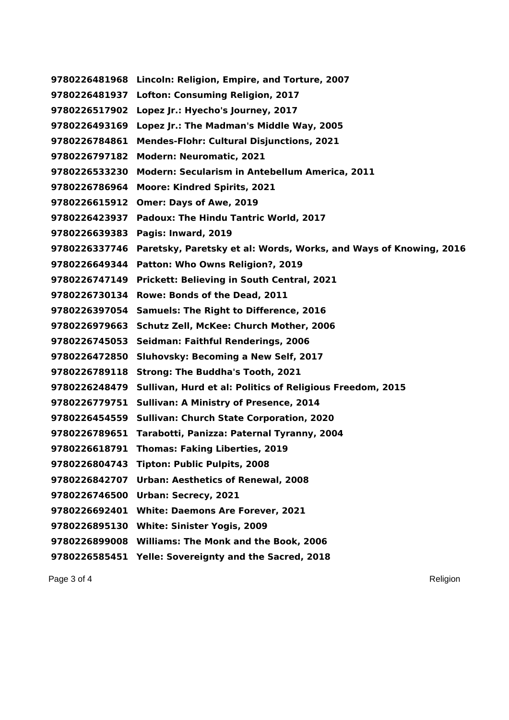**Lincoln: Religion, Empire, and Torture, 2007 Lofton: Consuming Religion, 2017 Lopez Jr.: Hyecho's Journey, 2017 Lopez Jr.: The Madman's Middle Way, 2005 Mendes-Flohr: Cultural Disjunctions, 2021 Modern: Neuromatic, 2021 Modern: Secularism in Antebellum America, 2011 Moore: Kindred Spirits, 2021 Omer: Days of Awe, 2019 Padoux: The Hindu Tantric World, 2017 Pagis: Inward, 2019 Paretsky, Paretsky et al: Words, Works, and Ways of Knowing, 2016 Patton: Who Owns Religion?, 2019 Prickett: Believing in South Central, 2021 Rowe: Bonds of the Dead, 2011 Samuels: The Right to Difference, 2016 Schutz Zell, McKee: Church Mother, 2006 Seidman: Faithful Renderings, 2006 Sluhovsky: Becoming a New Self, 2017 Strong: The Buddha's Tooth, 2021 Sullivan, Hurd et al: Politics of Religious Freedom, 2015 Sullivan: A Ministry of Presence, 2014 Sullivan: Church State Corporation, 2020 Tarabotti, Panizza: Paternal Tyranny, 2004 Thomas: Faking Liberties, 2019 Tipton: Public Pulpits, 2008 Urban: Aesthetics of Renewal, 2008 Urban: Secrecy, 2021 White: Daemons Are Forever, 2021 White: Sinister Yogis, 2009 Williams: The Monk and the Book, 2006 Yelle: Sovereignty and the Sacred, 2018**

Page 3 of 4 Religion and the set of the set of the set of the set of the set of the set of the set of the set of the set of the set of the set of the set of the set of the set of the set of the set of the set of the set of